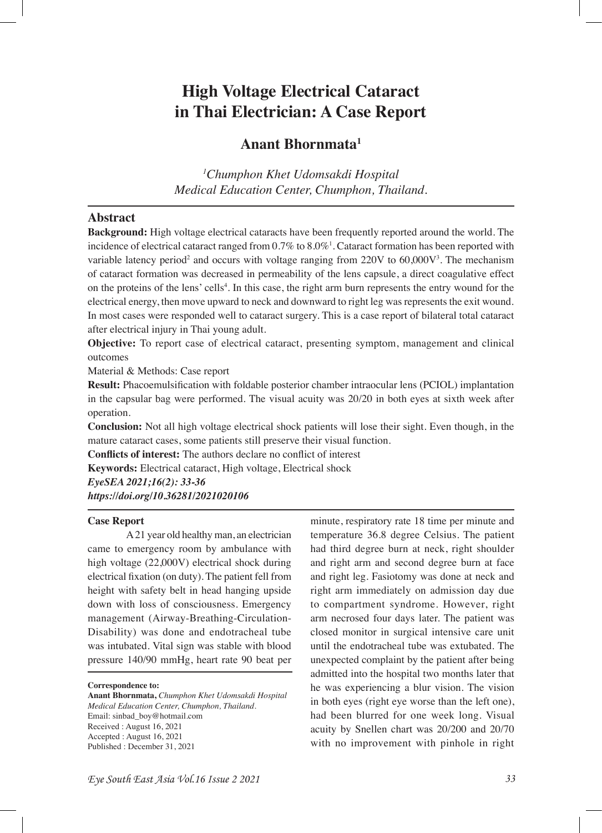# **High Voltage Electrical Cataract in Thai Electrician: A Case Report**

# **Anant Bhornmata1**

*1 Chumphon Khet Udomsakdi Hospital Medical Education Center, Chumphon, Thailand.*

## **Abstract**

**Background:** High voltage electrical cataracts have been frequently reported around the world. The incidence of electrical cataract ranged from 0.7% to 8.0%1 . Cataract formation has been reported with variable latency period<sup>2</sup> and occurs with voltage ranging from  $220V$  to  $60,000V^3$ . The mechanism of cataract formation was decreased in permeability of the lens capsule, a direct coagulative effect on the proteins of the lens' cells<sup>4</sup>. In this case, the right arm burn represents the entry wound for the electrical energy, then move upward to neck and downward to right leg was represents the exit wound. In most cases were responded well to cataract surgery. This is a case report of bilateral total cataract after electrical injury in Thai young adult.

**Objective:** To report case of electrical cataract, presenting symptom, management and clinical outcomes

Material & Methods: Case report

**Result:** Phacoemulsifcation with foldable posterior chamber intraocular lens (PCIOL) implantation in the capsular bag were performed. The visual acuity was 20/20 in both eyes at sixth week after operation.

**Conclusion:** Not all high voltage electrical shock patients will lose their sight. Even though, in the mature cataract cases, some patients still preserve their visual function.

**Conficts of interest:** The authors declare no confict of interest

**Keywords:** Electrical cataract, High voltage, Electrical shock

*EyeSEA 2021;16(2): 33-36 https://doi.org/10.36281/2021020106*

### **Case Report**

A 21 year old healthy man, an electrician came to emergency room by ambulance with high voltage (22,000V) electrical shock during electrical fxation (on duty). The patient fell from height with safety belt in head hanging upside down with loss of consciousness. Emergency management (Airway-Breathing-Circulation-Disability) was done and endotracheal tube was intubated. Vital sign was stable with blood pressure 140/90 mmHg, heart rate 90 beat per

**Correspondence to:**

**Anant Bhornmata,** *Chumphon Khet Udomsakdi Hospital Medical Education Center, Chumphon, Thailand.* Email: sinbad\_boy@hotmail.com Received : August 16, 2021 Accepted : August 16, 2021 Published : December 31, 2021

minute, respiratory rate 18 time per minute and temperature 36.8 degree Celsius. The patient had third degree burn at neck, right shoulder and right arm and second degree burn at face and right leg. Fasiotomy was done at neck and right arm immediately on admission day due to compartment syndrome. However, right arm necrosed four days later. The patient was closed monitor in surgical intensive care unit until the endotracheal tube was extubated. The unexpected complaint by the patient after being admitted into the hospital two months later that he was experiencing a blur vision. The vision in both eyes (right eye worse than the left one), had been blurred for one week long. Visual acuity by Snellen chart was 20/200 and 20/70 with no improvement with pinhole in right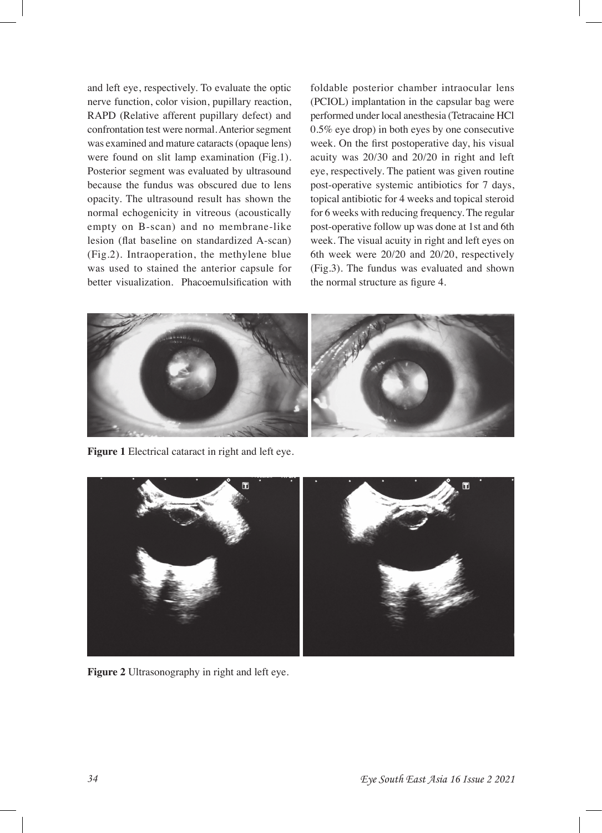and left eye, respectively. To evaluate the optic nerve function, color vision, pupillary reaction, RAPD (Relative afferent pupillary defect) and confrontation test were normal. Anterior segment was examined and mature cataracts (opaque lens) were found on slit lamp examination (Fig.1). Posterior segment was evaluated by ultrasound because the fundus was obscured due to lens opacity. The ultrasound result has shown the normal echogenicity in vitreous (acoustically empty on B-scan) and no membrane-like lesion (fat baseline on standardized A-scan) (Fig.2). Intraoperation, the methylene blue was used to stained the anterior capsule for better visualization. Phacoemulsifcation with

foldable posterior chamber intraocular lens (PCIOL) implantation in the capsular bag were performed under local anesthesia (Tetracaine HCl 0.5% eye drop) in both eyes by one consecutive week. On the frst postoperative day, his visual acuity was 20/30 and 20/20 in right and left eye, respectively. The patient was given routine post-operative systemic antibiotics for 7 days, topical antibiotic for 4 weeks and topical steroid for 6 weeks with reducing frequency. The regular post-operative follow up was done at 1st and 6th week. The visual acuity in right and left eyes on 6th week were 20/20 and 20/20, respectively (Fig.3). The fundus was evaluated and shown the normal structure as figure 4.



**Figure 1** Electrical cataract in right and left eye.



**Figure 2** Ultrasonography in right and left eye.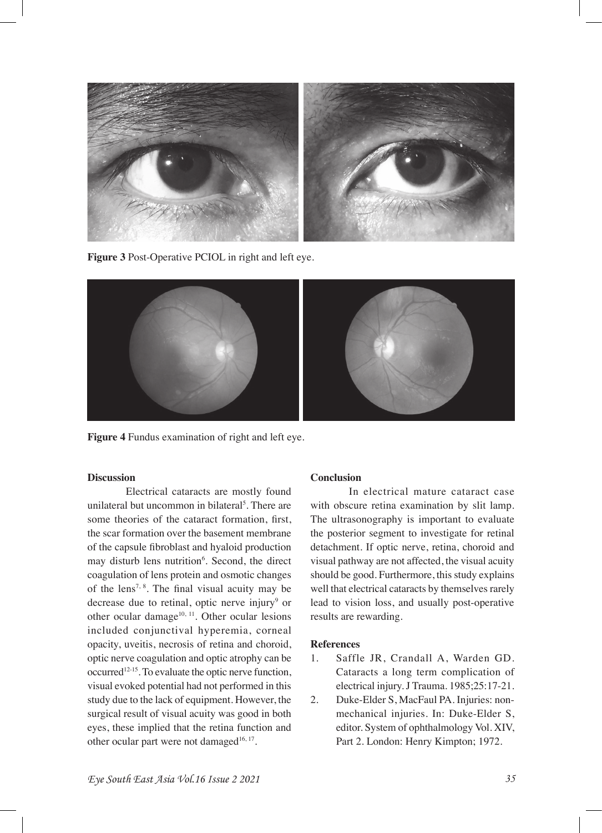

**Figure 3** Post-Operative PCIOL in right and left eye.



**Figure 4** Fundus examination of right and left eye.

#### **Discussion**

Electrical cataracts are mostly found unilateral but uncommon in bilateral<sup>5</sup>. There are some theories of the cataract formation, frst, the scar formation over the basement membrane of the capsule fbroblast and hyaloid production may disturb lens nutrition<sup>6</sup>. Second, the direct coagulation of lens protein and osmotic changes of the lens<sup>7, 8</sup>. The final visual acuity may be decrease due to retinal, optic nerve injury<sup>9</sup> or other ocular damage $10, 11$ . Other ocular lesions included conjunctival hyperemia, corneal opacity, uveitis, necrosis of retina and choroid, optic nerve coagulation and optic atrophy can be occurred<sup>12-15</sup>. To evaluate the optic nerve function, visual evoked potential had not performed in this study due to the lack of equipment. However, the surgical result of visual acuity was good in both eyes, these implied that the retina function and other ocular part were not damaged<sup>16, 17</sup>.

#### **Conclusion**

In electrical mature cataract case with obscure retina examination by slit lamp. The ultrasonography is important to evaluate the posterior segment to investigate for retinal detachment. If optic nerve, retina, choroid and visual pathway are not affected, the visual acuity should be good. Furthermore, this study explains well that electrical cataracts by themselves rarely lead to vision loss, and usually post-operative results are rewarding.

#### **References**

- 1. Saffle JR, Crandall A, Warden GD. Cataracts a long term complication of electrical injury. J Trauma. 1985;25:17-21.
- 2. Duke-Elder S, MacFaul PA. Injuries: nonmechanical injuries. In: Duke-Elder S, editor. System of ophthalmology Vol. XIV, Part 2. London: Henry Kimpton; 1972.